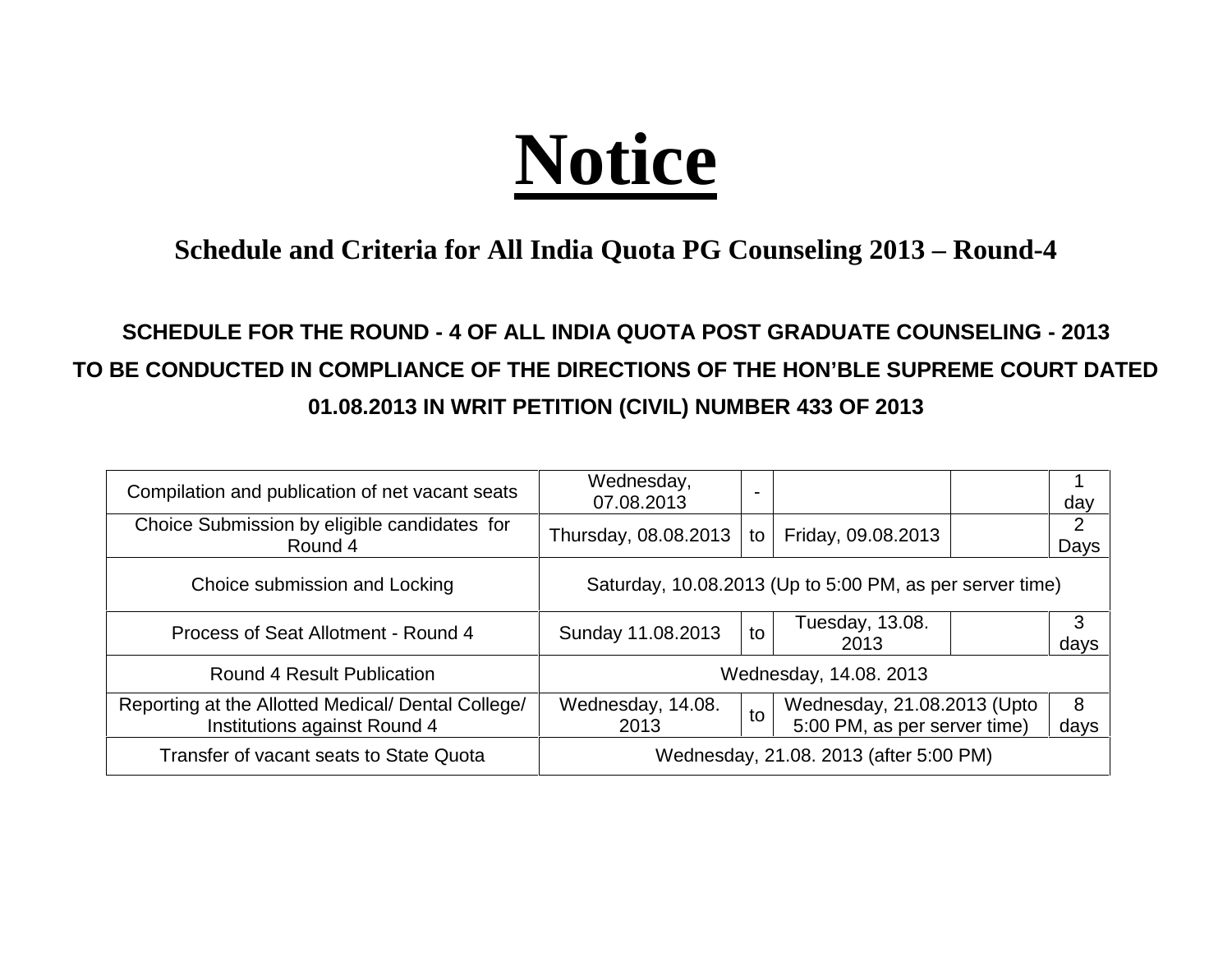## **Notice**

## **Schedule and Criteria for All India Quota PG Counseling 2013 – Round-4**

## **SCHEDULE FOR THE ROUND - 4 OF ALL INDIA QUOTA POST GRADUATE COUNSELING - 2013 TO BE CONDUCTED IN COMPLIANCE OF THE DIRECTIONS OF THE HON'BLE SUPREME COURT DATED 01.08.2013 IN WRIT PETITION (CIVIL) NUMBER 433 OF 2013**

| Compilation and publication of net vacant seats                                    | Wednesday,<br>07.08.2013                                 | $\blacksquare$ |                                                             | day       |
|------------------------------------------------------------------------------------|----------------------------------------------------------|----------------|-------------------------------------------------------------|-----------|
| Choice Submission by eligible candidates for<br>Round 4                            | Thursday, 08.08.2013                                     | to             | Friday, 09.08.2013                                          | 2<br>Days |
| Choice submission and Locking                                                      | Saturday, 10.08.2013 (Up to 5:00 PM, as per server time) |                |                                                             |           |
| Process of Seat Allotment - Round 4                                                | Sunday 11.08.2013                                        | to             | Tuesday, 13.08.<br>2013                                     | 3<br>days |
| <b>Round 4 Result Publication</b>                                                  | Wednesday, 14.08. 2013                                   |                |                                                             |           |
| Reporting at the Allotted Medical/ Dental College/<br>Institutions against Round 4 | Wednesday, 14.08.<br>2013                                | to             | Wednesday, 21.08.2013 (Upto<br>5:00 PM, as per server time) | 8<br>days |
| Transfer of vacant seats to State Quota                                            | Wednesday, 21.08. 2013 (after 5:00 PM)                   |                |                                                             |           |